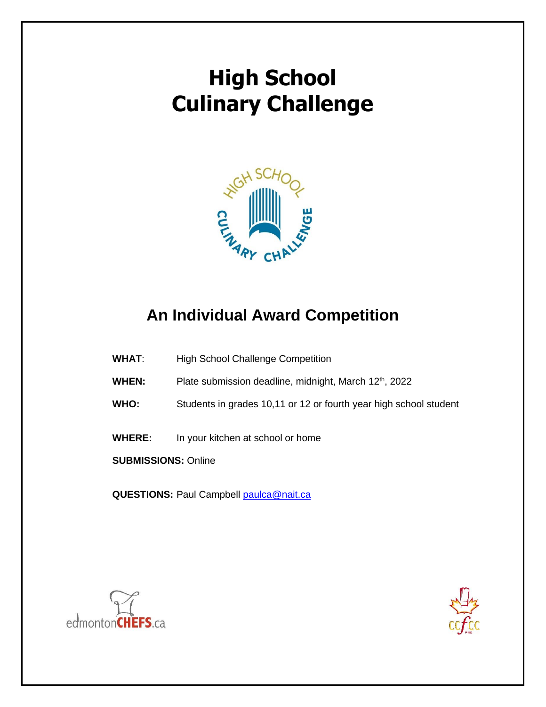

## **An Individual Award Competition**

- **WHAT**: High School Challenge Competition
- WHEN: Plate submission deadline, midnight, March 12<sup>th</sup>, 2022
- **WHO:** Students in grades 10,11 or 12 or fourth year high school student
- **WHERE:** In your kitchen at school or home

**SUBMISSIONS:** Online

**QUESTIONS: Paul Campbell [paulca@nait.ca](mailto:paulca@nait.ca)** 



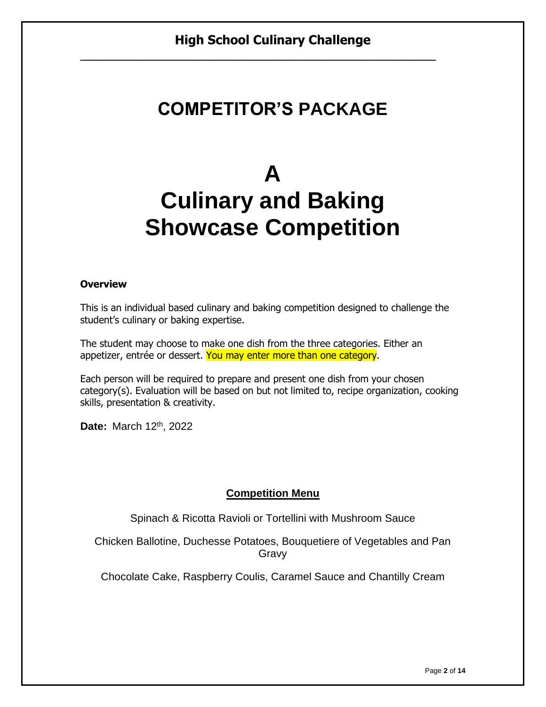# **COMPETITOR'S PACKAGE**

# **A Culinary and Baking Showcase Competition**

#### **Overview**

This is an individual based culinary and baking competition designed to challenge the student's culinary or baking expertise.

The student may choose to make one dish from the three categories. Either an appetizer, entrée or dessert. You may enter more than one category.

Each person will be required to prepare and present one dish from your chosen category(s). Evaluation will be based on but not limited to, recipe organization, cooking skills, presentation & creativity.

**Date:** March 12th, 2022

#### **Competition Menu**

Spinach & Ricotta Ravioli or Tortellini with Mushroom Sauce

Chicken Ballotine, Duchesse Potatoes, Bouquetiere of Vegetables and Pan Gravy

Chocolate Cake, Raspberry Coulis, Caramel Sauce and Chantilly Cream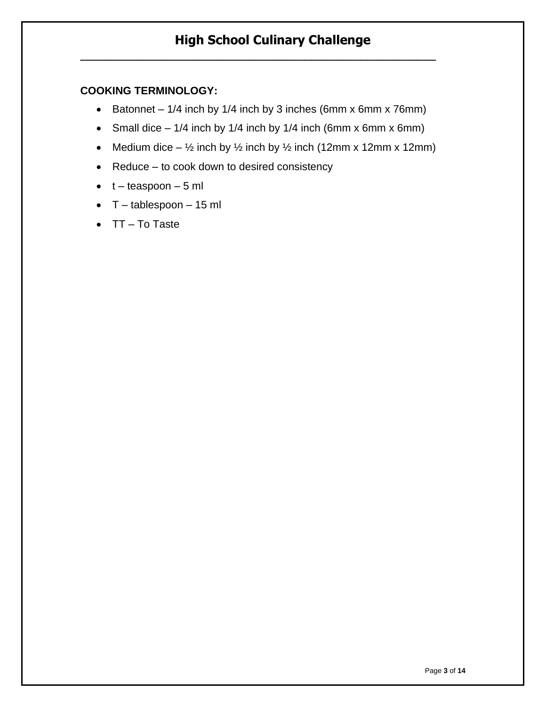#### **COOKING TERMINOLOGY:**

• Batonnet – 1/4 inch by 1/4 inch by 3 inches (6mm x 6mm x 76mm)

**\_\_\_\_\_\_\_\_\_\_\_\_\_\_\_\_\_\_\_\_\_\_\_\_\_\_\_\_\_\_\_\_\_\_\_\_\_\_\_\_\_\_\_\_\_\_\_\_\_\_\_\_\_\_\_\_\_**

- Small dice  $-1/4$  inch by 1/4 inch by 1/4 inch (6mm x 6mm x 6mm)
- Medium dice  $-$  1/<sub>2</sub> inch by 1/<sub>2</sub> inch by 1/<sub>2</sub> inch (12mm x 12mm x 12mm)
- Reduce to cook down to desired consistency
- $\bullet$  t teaspoon 5 ml
- $\bullet$  T tablespoon 15 ml
- TT To Taste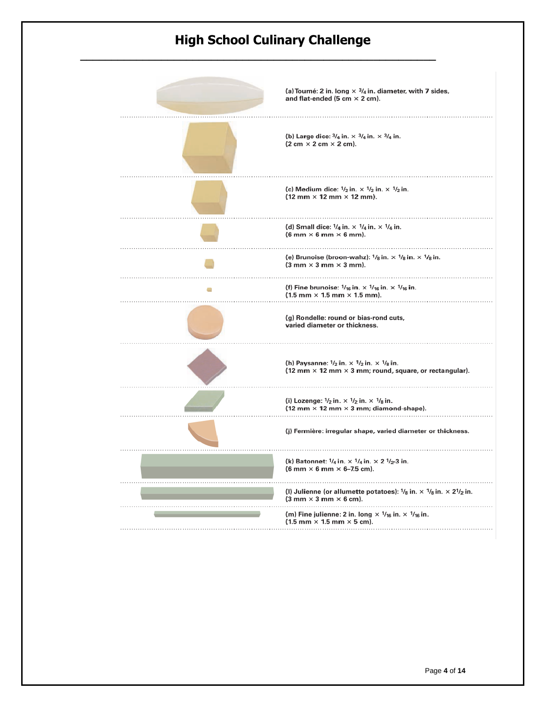**\_\_\_\_\_\_\_\_\_\_\_\_\_\_\_\_\_\_\_\_\_\_\_\_\_\_\_\_\_\_\_\_\_\_\_\_\_\_\_\_\_\_\_\_\_\_\_\_\_\_\_\_\_\_\_\_\_**

| (a) Tourné: 2 in. long $\times$ $\frac{3}{4}$ in. diameter, with 7 sides,<br>and flat-ended (5 cm $\times$ 2 cm).                                                            |
|------------------------------------------------------------------------------------------------------------------------------------------------------------------------------|
| (b) Large dice: $\frac{3}{4}$ in. $\times$ $\frac{3}{4}$ in. $\times$ $\frac{3}{4}$ in.<br>$(2 cm \times 2 cm \times 2 cm).$                                                 |
| (c) Medium dice: $1/2$ in. $\times$ $1/2$ in. $\times$ $1/2$ in.<br>$(12 \text{ mm} \times 12 \text{ mm} \times 12 \text{ mm}).$                                             |
| (d) Small dice: $1/4$ in. $\times$ $1/4$ in. $\times$ $1/4$ in.<br>$(6 \text{ mm} \times 6 \text{ mm} \times 6 \text{ mm}).$                                                 |
| (e) Brunoise (broon-wahz): $\frac{1}{8}$ in. $\times$ $\frac{1}{8}$ in. $\times$ $\frac{1}{8}$ in.<br>$(3 \text{ mm} \times 3 \text{ mm} \times 3 \text{ mm}).$              |
| (f) Fine brunoise: $1/16$ in. $\times$ $1/16$ in. $\times$ $1/16$ in.<br>$(1.5 \text{ mm} \times 1.5 \text{ mm} \times 1.5 \text{ mm}).$                                     |
| (g) Rondelle: round or bias-rond cuts,<br>varied diameter or thickness.                                                                                                      |
| (h) Paysanne: $1/2$ in. $\times$ $1/2$ in. $\times$ $1/8$ in.<br>(12 mm $\times$ 12 mm $\times$ 3 mm; round, square, or rectangular).                                        |
| (i) Lozenge: $1/2$ in. $\times$ $1/2$ in. $\times$ $1/8$ in.<br>(12 mm $\times$ 12 mm $\times$ 3 mm; diamond-shape).                                                         |
| (j) Fermière: irregular shape, varied diameter or thickness.                                                                                                                 |
| (k) Batonnet: $1/4$ in. $\times$ $1/4$ in. $\times$ 2 $1/2$ -3 in.<br>$(6 \text{ mm} \times 6 \text{ mm} \times 6 - 7.5 \text{ cm}).$                                        |
| (I) Julienne (or allumette potatoes): $\frac{1}{8}$ in. $\times$ $\frac{1}{8}$ in. $\times$ 2 $\frac{1}{2}$ in.<br>$(3 \text{ mm} \times 3 \text{ mm} \times 6 \text{ cm}).$ |
| (m) Fine julienne: 2 in. long $\times$ $1/16$ in. $\times$ $1/16$ in.<br>$(1.5 \text{ mm} \times 1.5 \text{ mm} \times 5 \text{ cm}).$                                       |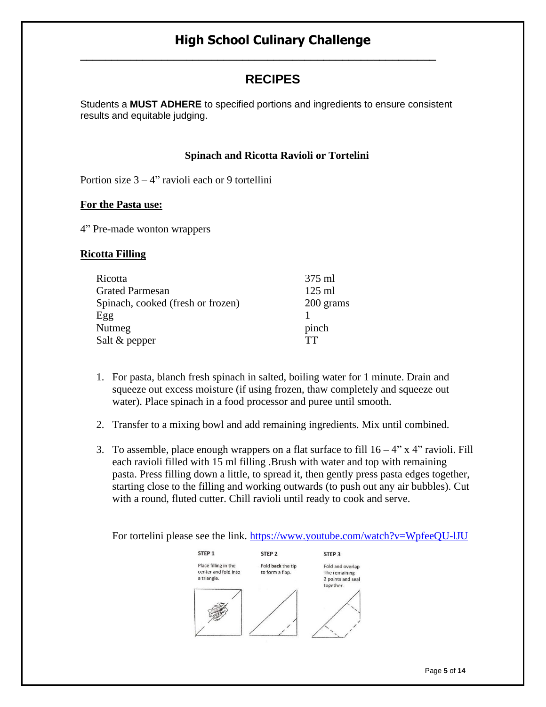**\_\_\_\_\_\_\_\_\_\_\_\_\_\_\_\_\_\_\_\_\_\_\_\_\_\_\_\_\_\_\_\_\_\_\_\_\_\_\_\_\_\_\_\_\_\_\_\_\_\_\_\_\_\_\_\_\_**

## **RECIPES**

Students a **MUST ADHERE** to specified portions and ingredients to ensure consistent results and equitable judging.

#### **Spinach and Ricotta Ravioli or Tortelini**

Portion size  $3 - 4$ " ravioli each or 9 tortellini

#### **For the Pasta use:**

4" Pre-made wonton wrappers

#### **Ricotta Filling**

| Ricotta                           | 375 ml    |
|-----------------------------------|-----------|
| <b>Grated Parmesan</b>            | $125$ ml  |
| Spinach, cooked (fresh or frozen) | 200 grams |
| Egg                               |           |
| Nutmeg                            | pinch     |
| Salt & pepper                     | TТ        |

- 1. For pasta, blanch fresh spinach in salted, boiling water for 1 minute. Drain and squeeze out excess moisture (if using frozen, thaw completely and squeeze out water). Place spinach in a food processor and puree until smooth.
- 2. Transfer to a mixing bowl and add remaining ingredients. Mix until combined.
- 3. To assemble, place enough wrappers on a flat surface to fill  $16 4$ " x  $4$ " ravioli. Fill each ravioli filled with 15 ml filling .Brush with water and top with remaining pasta. Press filling down a little, to spread it, then gently press pasta edges together, starting close to the filling and working outwards (to push out any air bubbles). Cut with a round, fluted cutter. Chill ravioli until ready to cook and serve.

For tortelini please see the link.<https://www.youtube.com/watch?v=WpfeeQU-lJU>

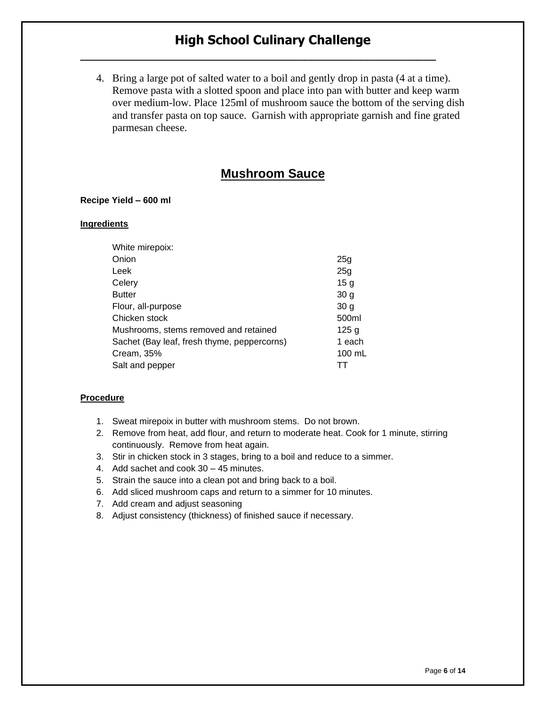**\_\_\_\_\_\_\_\_\_\_\_\_\_\_\_\_\_\_\_\_\_\_\_\_\_\_\_\_\_\_\_\_\_\_\_\_\_\_\_\_\_\_\_\_\_\_\_\_\_\_\_\_\_\_\_\_\_**

4. Bring a large pot of salted water to a boil and gently drop in pasta (4 at a time). Remove pasta with a slotted spoon and place into pan with butter and keep warm over medium-low. Place 125ml of mushroom sauce the bottom of the serving dish and transfer pasta on top sauce. Garnish with appropriate garnish and fine grated parmesan cheese.

## **Mushroom Sauce**

#### **Recipe Yield – 600 ml**

#### **Ingredients**

| White mirepoix:                             |                 |
|---------------------------------------------|-----------------|
| Onion                                       | 25g             |
| Leek                                        | 25g             |
| Celery                                      | 15 <sub>q</sub> |
| <b>Butter</b>                               | 30 <sub>g</sub> |
| Flour, all-purpose                          | 30 <sub>q</sub> |
| Chicken stock                               | 500ml           |
| Mushrooms, stems removed and retained       | 125g            |
| Sachet (Bay leaf, fresh thyme, peppercorns) | 1 each          |
| Cream, 35%                                  | 100 mL          |
| Salt and pepper                             |                 |

- 1. Sweat mirepoix in butter with mushroom stems. Do not brown.
- 2. Remove from heat, add flour, and return to moderate heat. Cook for 1 minute, stirring continuously. Remove from heat again.
- 3. Stir in chicken stock in 3 stages, bring to a boil and reduce to a simmer.
- 4. Add sachet and cook 30 45 minutes.
- 5. Strain the sauce into a clean pot and bring back to a boil.
- 6. Add sliced mushroom caps and return to a simmer for 10 minutes.
- 7. Add cream and adjust seasoning
- 8. Adjust consistency (thickness) of finished sauce if necessary.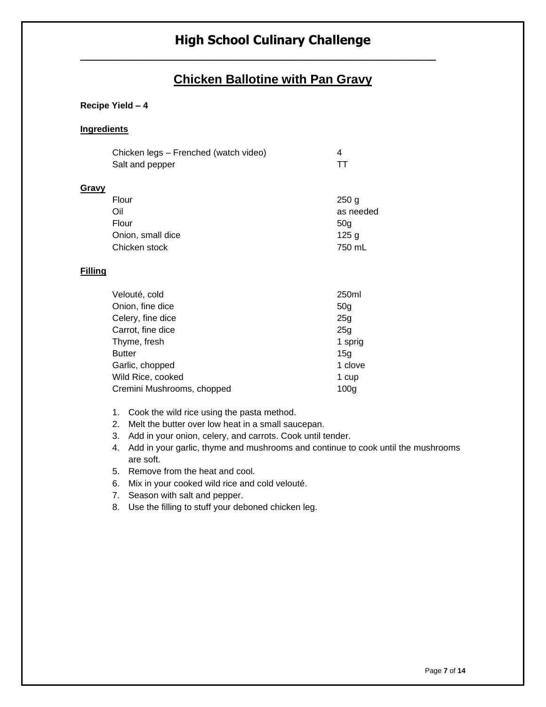### **Chicken Ballotine with Pan Gravy**

#### **Recipe Yield – 4**

#### **Ingredients**

|       | Chicken legs - Frenched (watch video) | 4                |
|-------|---------------------------------------|------------------|
|       | Salt and pepper                       | ТT               |
| Gravy |                                       |                  |
|       | Flour                                 | 250 <sub>g</sub> |
|       | Oil                                   | as needed        |
|       | Flour                                 | 50 <sub>g</sub>  |
|       | Onion, small dice                     | 125 <sub>g</sub> |
|       | Chicken stock                         | 750 mL           |

#### **Filling**

| Velouté, cold              | 250ml            |
|----------------------------|------------------|
| Onion, fine dice           | 50 <sub>g</sub>  |
| Celery, fine dice          | 25g              |
| Carrot, fine dice          | 25 <sub>q</sub>  |
| Thyme, fresh               | 1 sprig          |
| <b>Butter</b>              | 15 <sub>q</sub>  |
| Garlic, chopped            | 1 clove          |
| Wild Rice, cooked          | 1 cup            |
| Cremini Mushrooms, chopped | 100 <sub>q</sub> |

- 1. Cook the wild rice using the pasta method.
- 2. Melt the butter over low heat in a small saucepan.
- 3. Add in your onion, celery, and carrots. Cook until tender.
- 4. Add in your garlic, thyme and mushrooms and continue to cook until the mushrooms are soft.
- 5. Remove from the heat and cool.
- 6. Mix in your cooked wild rice and cold velouté.
- 7. Season with salt and pepper.
- 8. Use the filling to stuff your deboned chicken leg.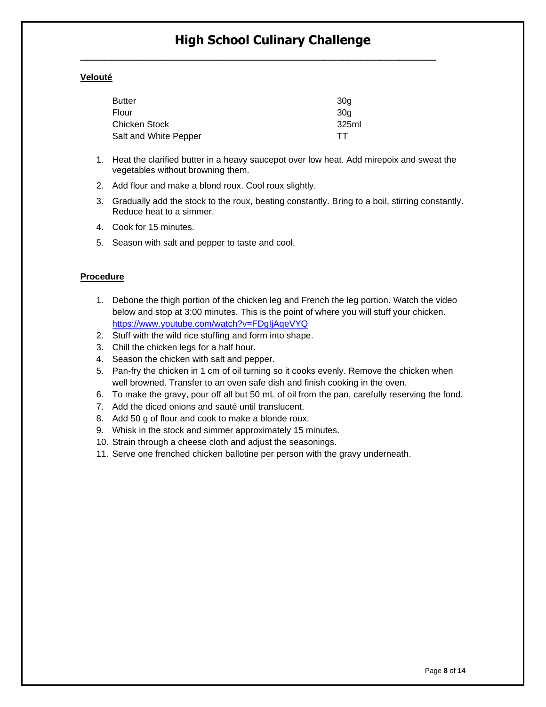**\_\_\_\_\_\_\_\_\_\_\_\_\_\_\_\_\_\_\_\_\_\_\_\_\_\_\_\_\_\_\_\_\_\_\_\_\_\_\_\_\_\_\_\_\_\_\_\_\_\_\_\_\_\_\_\_\_**

#### **Velouté**

| <b>Butter</b>         | 30 <sub>q</sub> |
|-----------------------|-----------------|
| Flour                 | 30a             |
| Chicken Stock         | 325ml           |
| Salt and White Pepper | TT.             |

- 1. Heat the clarified butter in a heavy saucepot over low heat. Add mirepoix and sweat the vegetables without browning them.
- 2. Add flour and make a blond roux. Cool roux slightly.
- 3. Gradually add the stock to the roux, beating constantly. Bring to a boil, stirring constantly. Reduce heat to a simmer.
- 4. Cook for 15 minutes.
- 5. Season with salt and pepper to taste and cool.

- 1. Debone the thigh portion of the chicken leg and French the leg portion. Watch the video below and stop at 3:00 minutes. This is the point of where you will stuff your chicken. <https://www.youtube.com/watch?v=FDgIjAqeVYQ>
- 2. Stuff with the wild rice stuffing and form into shape.
- 3. Chill the chicken legs for a half hour.
- 4. Season the chicken with salt and pepper.
- 5. Pan-fry the chicken in 1 cm of oil turning so it cooks evenly. Remove the chicken when well browned. Transfer to an oven safe dish and finish cooking in the oven.
- 6. To make the gravy, pour off all but 50 mL of oil from the pan, carefully reserving the fond.
- 7. Add the diced onions and sauté until translucent.
- 8. Add 50 g of flour and cook to make a blonde roux.
- 9. Whisk in the stock and simmer approximately 15 minutes.
- 10. Strain through a cheese cloth and adjust the seasonings.
- 11. Serve one frenched chicken ballotine per person with the gravy underneath.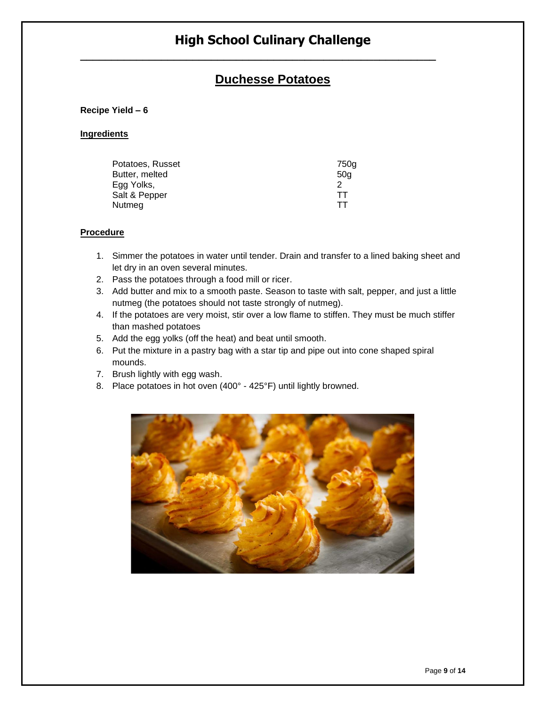## **Duchesse Potatoes**

#### **Recipe Yield – 6**

#### **Ingredients**

| Potatoes, Russet | 750a |
|------------------|------|
| Butter, melted   | 50a  |
| Egg Yolks,       |      |
| Salt & Pepper    | TТ   |
| Nutmeg           | TТ   |

- 1. Simmer the potatoes in water until tender. Drain and transfer to a lined baking sheet and let dry in an oven several minutes.
- 2. Pass the potatoes through a food mill or ricer.
- 3. Add butter and mix to a smooth paste. Season to taste with salt, pepper, and just a little nutmeg (the potatoes should not taste strongly of nutmeg).
- 4. If the potatoes are very moist, stir over a low flame to stiffen. They must be much stiffer than mashed potatoes
- 5. Add the egg yolks (off the heat) and beat until smooth.
- 6. Put the mixture in a pastry bag with a star tip and pipe out into cone shaped spiral mounds.
- 7. Brush lightly with egg wash.
- 8. Place potatoes in hot oven (400° 425°F) until lightly browned.

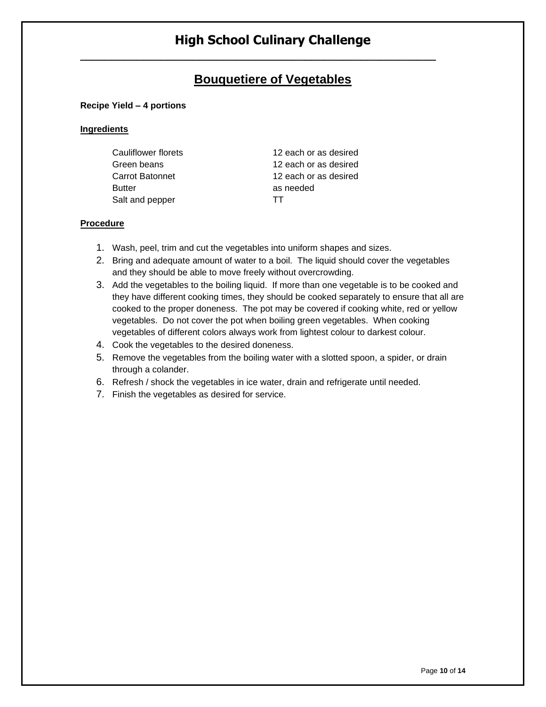## **Bouquetiere of Vegetables**

#### **Recipe Yield – 4 portions**

#### **Ingredients**

| Cauliflower florets | 12 each or as desired |
|---------------------|-----------------------|
| Green beans         | 12 each or as desired |
| Carrot Batonnet     | 12 each or as desired |
| <b>Butter</b>       | as needed             |
| Salt and pepper     | TT                    |

- 1. Wash, peel, trim and cut the vegetables into uniform shapes and sizes.
- 2. Bring and adequate amount of water to a boil. The liquid should cover the vegetables and they should be able to move freely without overcrowding.
- 3. Add the vegetables to the boiling liquid. If more than one vegetable is to be cooked and they have different cooking times, they should be cooked separately to ensure that all are cooked to the proper doneness. The pot may be covered if cooking white, red or yellow vegetables. Do not cover the pot when boiling green vegetables. When cooking vegetables of different colors always work from lightest colour to darkest colour.
- 4. Cook the vegetables to the desired doneness.
- 5. Remove the vegetables from the boiling water with a slotted spoon, a spider, or drain through a colander.
- 6. Refresh / shock the vegetables in ice water, drain and refrigerate until needed.
- 7. Finish the vegetables as desired for service.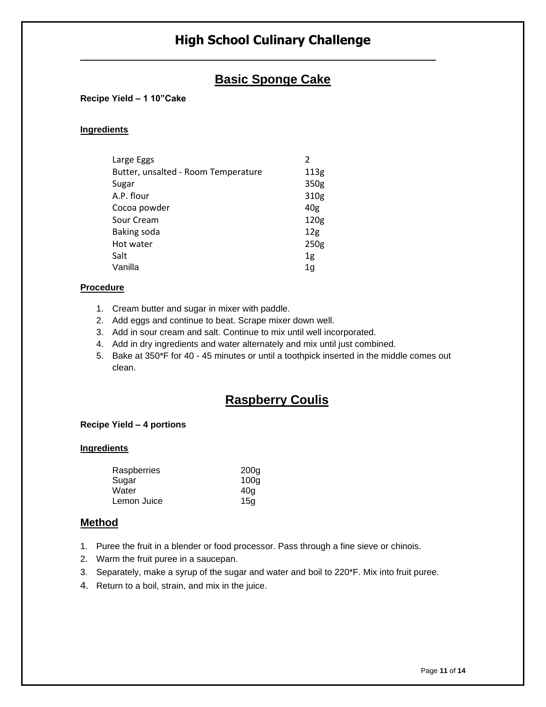## **Basic Sponge Cake**

#### **Recipe Yield – 1 10"Cake**

#### **Ingredients**

| Large Eggs                          | 2               |
|-------------------------------------|-----------------|
| Butter, unsalted - Room Temperature | 113g            |
| Sugar                               | 350g            |
| A.P. flour                          | 310g            |
| Cocoa powder                        | 40g             |
| Sour Cream                          | 120g            |
| Baking soda                         | 12 <sub>g</sub> |
| Hot water                           | 250g            |
| Salt                                | 1 <sub>g</sub>  |
| Vanilla                             | 1g              |

#### **Procedure**

- 1. Cream butter and sugar in mixer with paddle.
- 2. Add eggs and continue to beat. Scrape mixer down well.
- 3. Add in sour cream and salt. Continue to mix until well incorporated.
- 4. Add in dry ingredients and water alternately and mix until just combined.
- 5. Bake at 350\*F for 40 45 minutes or until a toothpick inserted in the middle comes out clean.

## **Raspberry Coulis**

#### **Recipe Yield – 4 portions**

#### **Ingredients**

| Raspberries | 200 <sub>g</sub> |
|-------------|------------------|
| Sugar       | 100 <sub>g</sub> |
| Water       | 40a              |
| Lemon Juice | 15a              |

#### **Method**

- 1. Puree the fruit in a blender or food processor. Pass through a fine sieve or chinois.
- 2. Warm the fruit puree in a saucepan.
- 3. Separately, make a syrup of the sugar and water and boil to 220\*F. Mix into fruit puree.
- 4. Return to a boil, strain, and mix in the juice.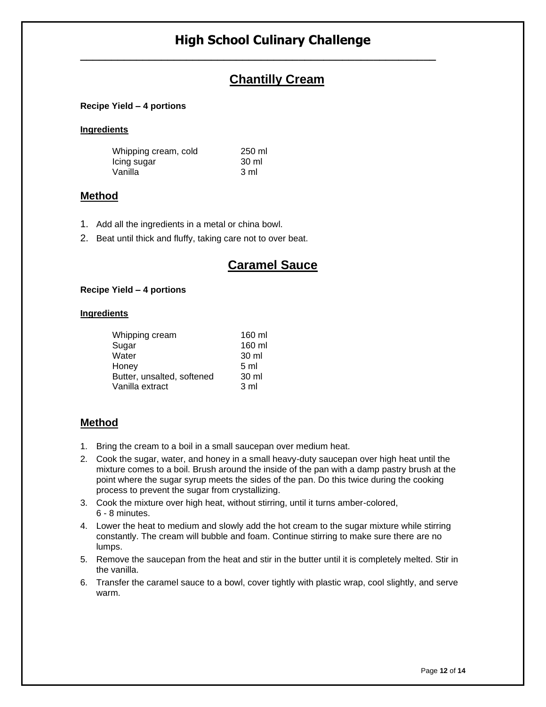**\_\_\_\_\_\_\_\_\_\_\_\_\_\_\_\_\_\_\_\_\_\_\_\_\_\_\_\_\_\_\_\_\_\_\_\_\_\_\_\_\_\_\_\_\_\_\_\_\_\_\_\_\_\_\_\_\_**

## **Chantilly Cream**

#### **Recipe Yield – 4 portions**

#### **Ingredients**

| Whipping cream, cold | 250 ml |
|----------------------|--------|
| lcing sugar          | 30 ml  |
| Vanilla              | 3 ml   |

#### **Method**

- 1. Add all the ingredients in a metal or china bowl.
- 2. Beat until thick and fluffy, taking care not to over beat.

## **Caramel Sauce**

#### **Recipe Yield – 4 portions**

#### **Ingredients**

| Whipping cream             | 160 ml         |
|----------------------------|----------------|
| Sugar                      | 160 ml         |
| Water                      | 30 ml          |
| Honey                      | 5 <sub>m</sub> |
| Butter, unsalted, softened | 30 ml          |
| Vanilla extract            | 3 ml           |

#### **Method**

- 1. Bring the cream to a boil in a small saucepan over medium heat.
- 2. Cook the sugar, water, and honey in a small heavy-duty saucepan over high heat until the mixture comes to a boil. Brush around the inside of the pan with a damp pastry brush at the point where the sugar syrup meets the sides of the pan. Do this twice during the cooking process to prevent the sugar from crystallizing.
- 3. Cook the mixture over high heat, without stirring, until it turns amber-colored, 6 - 8 minutes.
- 4. Lower the heat to medium and slowly add the hot cream to the sugar mixture while stirring constantly. The cream will bubble and foam. Continue stirring to make sure there are no lumps.
- 5. Remove the saucepan from the heat and stir in the butter until it is completely melted. Stir in the vanilla.
- 6. Transfer the caramel sauce to a bowl, cover tightly with plastic wrap, cool slightly, and serve warm.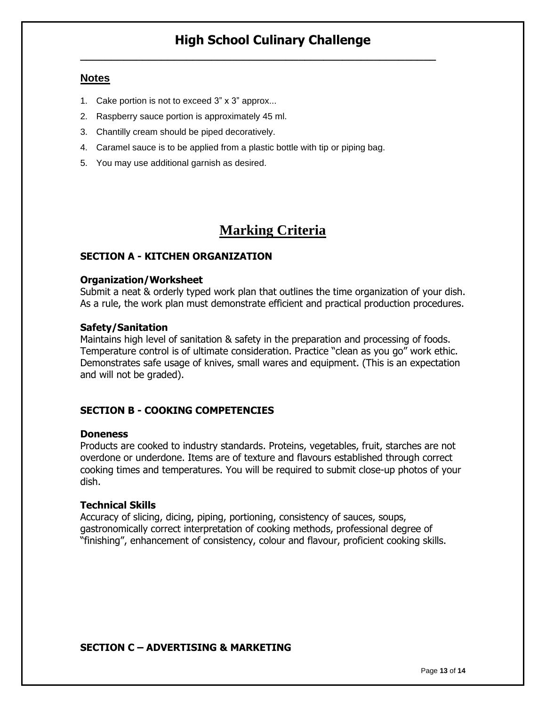**\_\_\_\_\_\_\_\_\_\_\_\_\_\_\_\_\_\_\_\_\_\_\_\_\_\_\_\_\_\_\_\_\_\_\_\_\_\_\_\_\_\_\_\_\_\_\_\_\_\_\_\_\_\_\_\_\_**

#### **Notes**

- 1. Cake portion is not to exceed 3" x 3" approx...
- 2. Raspberry sauce portion is approximately 45 ml.
- 3. Chantilly cream should be piped decoratively.
- 4. Caramel sauce is to be applied from a plastic bottle with tip or piping bag.
- 5. You may use additional garnish as desired.

## **Marking Criteria**

#### **SECTION A - KITCHEN ORGANIZATION**

#### **Organization/Worksheet**

Submit a neat & orderly typed work plan that outlines the time organization of your dish. As a rule, the work plan must demonstrate efficient and practical production procedures.

#### **Safety/Sanitation**

Maintains high level of sanitation & safety in the preparation and processing of foods. Temperature control is of ultimate consideration. Practice "clean as you go" work ethic. Demonstrates safe usage of knives, small wares and equipment. (This is an expectation and will not be graded).

#### **SECTION B - COOKING COMPETENCIES**

#### **Doneness**

Products are cooked to industry standards. Proteins, vegetables, fruit, starches are not overdone or underdone. Items are of texture and flavours established through correct cooking times and temperatures. You will be required to submit close-up photos of your dish.

#### **Technical Skills**

Accuracy of slicing, dicing, piping, portioning, consistency of sauces, soups, gastronomically correct interpretation of cooking methods, professional degree of "finishing", enhancement of consistency, colour and flavour, proficient cooking skills.

#### **SECTION C – ADVERTISING & MARKETING**